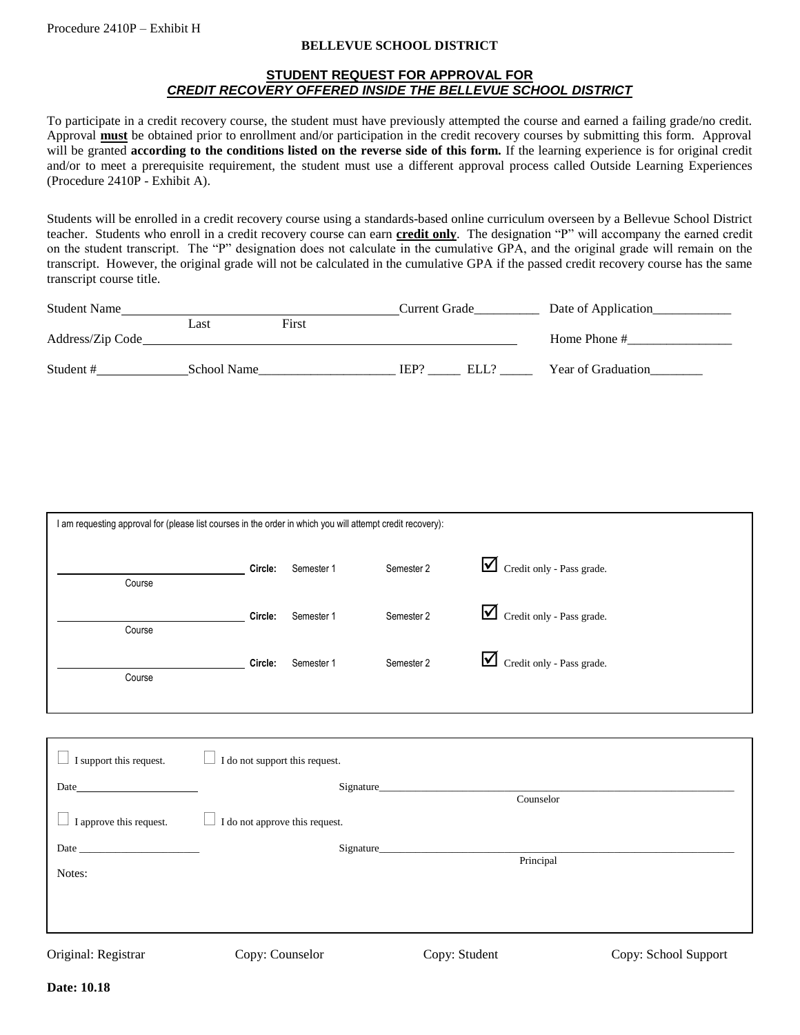## **BELLEVUE SCHOOL DISTRICT**

## **STUDENT REQUEST FOR APPROVAL FOR** *CREDIT RECOVERY OFFERED INSIDE THE BELLEVUE SCHOOL DISTRICT*

To participate in a credit recovery course, the student must have previously attempted the course and earned a failing grade/no credit. Approval **must** be obtained prior to enrollment and/or participation in the credit recovery courses by submitting this form. Approval will be granted **according to the conditions listed on the reverse side of this form.** If the learning experience is for original credit and/or to meet a prerequisite requirement, the student must use a different approval process called Outside Learning Experiences (Procedure 2410P - Exhibit A).

Students will be enrolled in a credit recovery course using a standards-based online curriculum overseen by a Bellevue School District teacher. Students who enroll in a credit recovery course can earn **credit only**. The designation "P" will accompany the earned credit on the student transcript. The "P" designation does not calculate in the cumulative GPA, and the original grade will remain on the transcript. However, the original grade will not be calculated in the cumulative GPA if the passed credit recovery course has the same transcript course title.

| <b>Student Name</b> |             |       | Current Grade |       | Date of Application |
|---------------------|-------------|-------|---------------|-------|---------------------|
|                     | Last        | First |               |       |                     |
| Address/Zip Code    |             |       |               |       | Home Phone #        |
|                     |             |       |               |       |                     |
| Student#            | School Name |       | IEP?          | ELL'. | Year of Graduation  |

| I am requesting approval for (please list courses in the order in which you will attempt credit recovery): |         |            |            |                                |  |
|------------------------------------------------------------------------------------------------------------|---------|------------|------------|--------------------------------|--|
| Course                                                                                                     | Circle: | Semester 1 | Semester 2 | ☑<br>Credit only - Pass grade. |  |
| Course                                                                                                     | Circle: | Semester 1 | Semester 2 | ⊻<br>Credit only - Pass grade. |  |
| Course                                                                                                     | Circle: | Semester 1 | Semester 2 | ⊻<br>Credit only - Pass grade. |  |

| I support this request. | I do not support this request. |               |                      |
|-------------------------|--------------------------------|---------------|----------------------|
| Date                    | Signature                      | Counselor     |                      |
| I approve this request. | I do not approve this request. |               |                      |
| Date                    | Signature                      | Principal     |                      |
| Notes:                  |                                |               |                      |
|                         |                                |               |                      |
|                         |                                |               |                      |
| Original: Registrar     | Copy: Counselor                | Copy: Student | Copy: School Support |

j